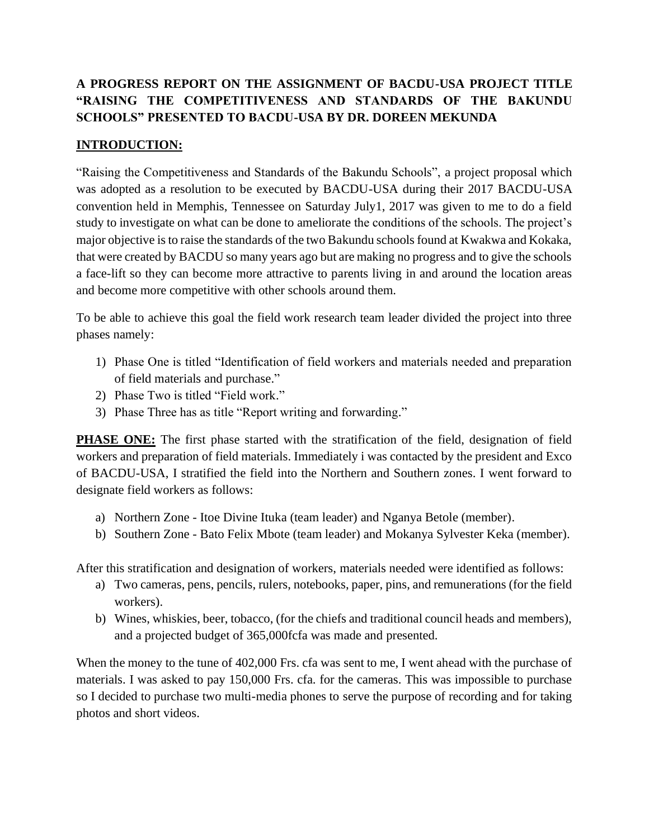# **A PROGRESS REPORT ON THE ASSIGNMENT OF BACDU-USA PROJECT TITLE "RAISING THE COMPETITIVENESS AND STANDARDS OF THE BAKUNDU SCHOOLS" PRESENTED TO BACDU-USA BY DR. DOREEN MEKUNDA**

# **INTRODUCTION:**

"Raising the Competitiveness and Standards of the Bakundu Schools", a project proposal which was adopted as a resolution to be executed by BACDU-USA during their 2017 BACDU-USA convention held in Memphis, Tennessee on Saturday July1, 2017 was given to me to do a field study to investigate on what can be done to ameliorate the conditions of the schools. The project's major objective is to raise the standards of the two Bakundu schools found at Kwakwa and Kokaka, that were created by BACDU so many years ago but are making no progress and to give the schools a face-lift so they can become more attractive to parents living in and around the location areas and become more competitive with other schools around them.

To be able to achieve this goal the field work research team leader divided the project into three phases namely:

- 1) Phase One is titled "Identification of field workers and materials needed and preparation of field materials and purchase."
- 2) Phase Two is titled "Field work."
- 3) Phase Three has as title "Report writing and forwarding."

**PHASE ONE:** The first phase started with the stratification of the field, designation of field workers and preparation of field materials. Immediately i was contacted by the president and Exco of BACDU-USA, I stratified the field into the Northern and Southern zones. I went forward to designate field workers as follows:

- a) Northern Zone Itoe Divine Ituka (team leader) and Nganya Betole (member).
- b) Southern Zone Bato Felix Mbote (team leader) and Mokanya Sylvester Keka (member).

After this stratification and designation of workers, materials needed were identified as follows:

- a) Two cameras, pens, pencils, rulers, notebooks, paper, pins, and remunerations (for the field workers).
- b) Wines, whiskies, beer, tobacco, (for the chiefs and traditional council heads and members), and a projected budget of 365,000fcfa was made and presented.

When the money to the tune of 402,000 Frs. cfa was sent to me, I went ahead with the purchase of materials. I was asked to pay 150,000 Frs. cfa. for the cameras. This was impossible to purchase so I decided to purchase two multi-media phones to serve the purpose of recording and for taking photos and short videos.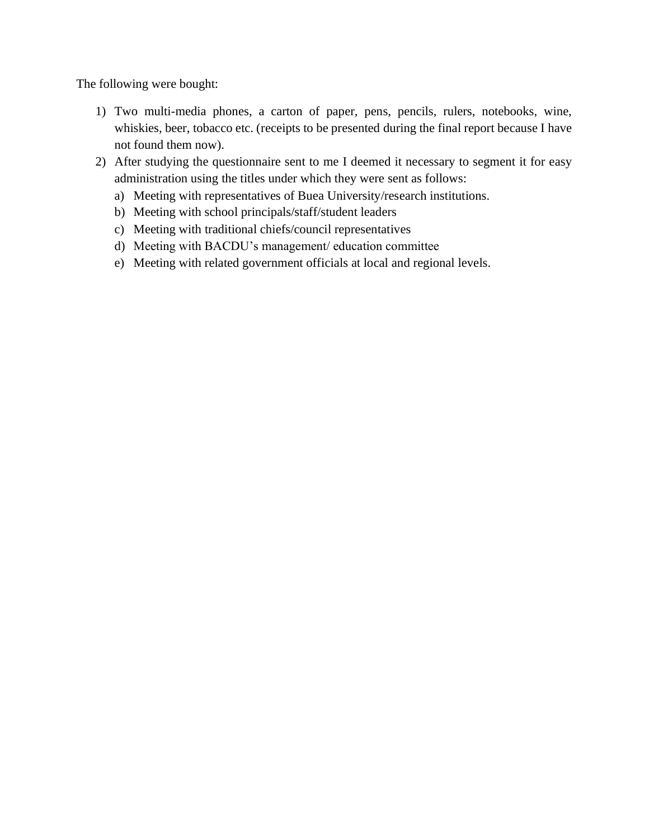The following were bought:

- 1) Two multi-media phones, a carton of paper, pens, pencils, rulers, notebooks, wine, whiskies, beer, tobacco etc. (receipts to be presented during the final report because I have not found them now).
- 2) After studying the questionnaire sent to me I deemed it necessary to segment it for easy administration using the titles under which they were sent as follows:
	- a) Meeting with representatives of Buea University/research institutions.
	- b) Meeting with school principals/staff/student leaders
	- c) Meeting with traditional chiefs/council representatives
	- d) Meeting with BACDU's management/ education committee
	- e) Meeting with related government officials at local and regional levels.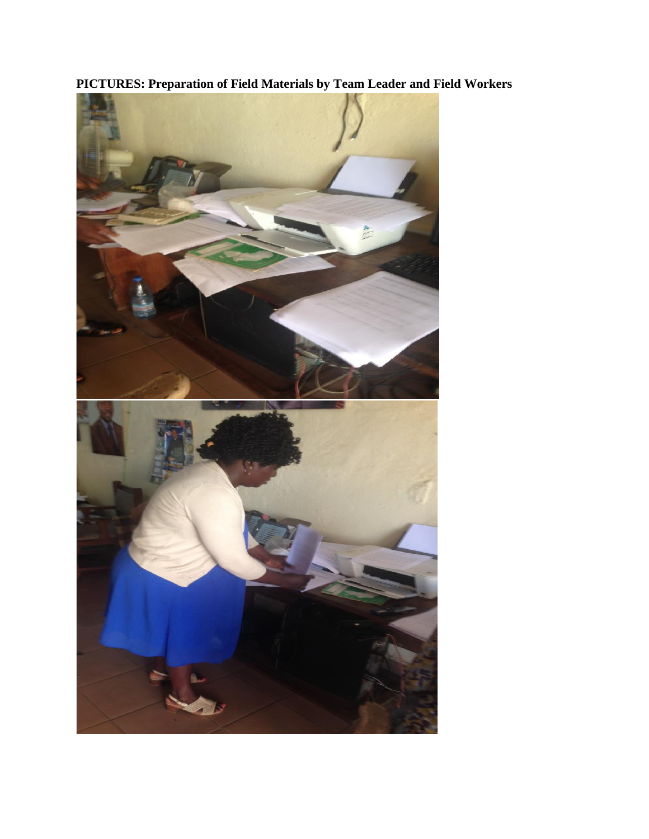

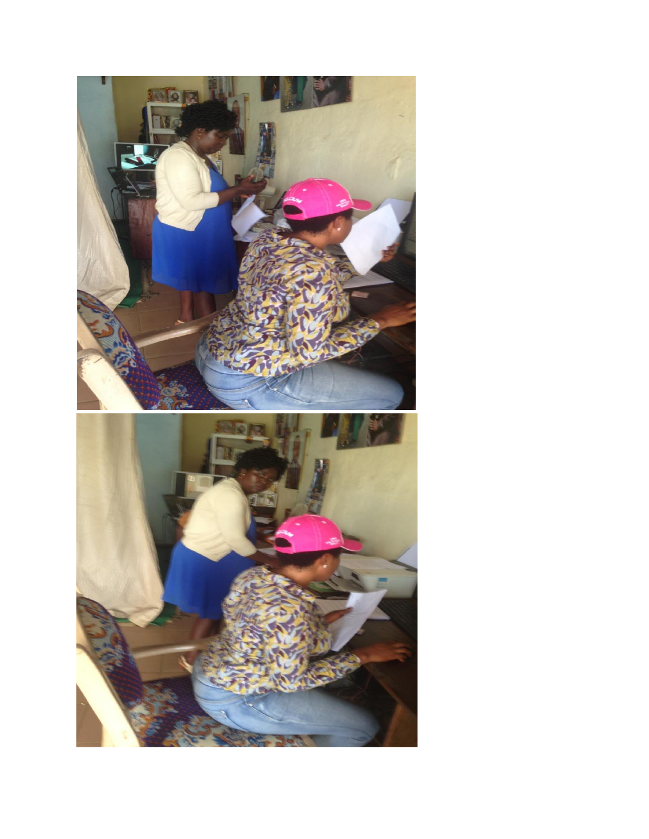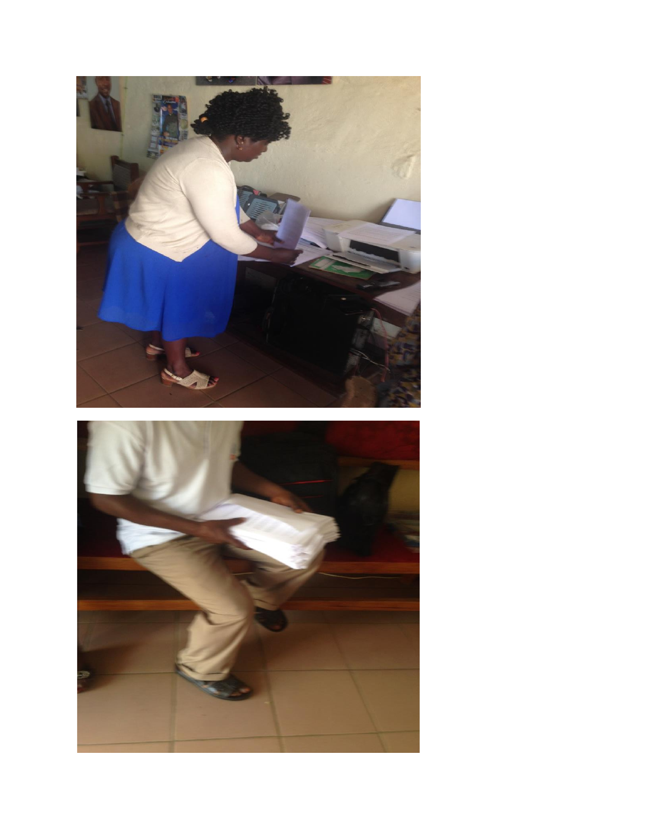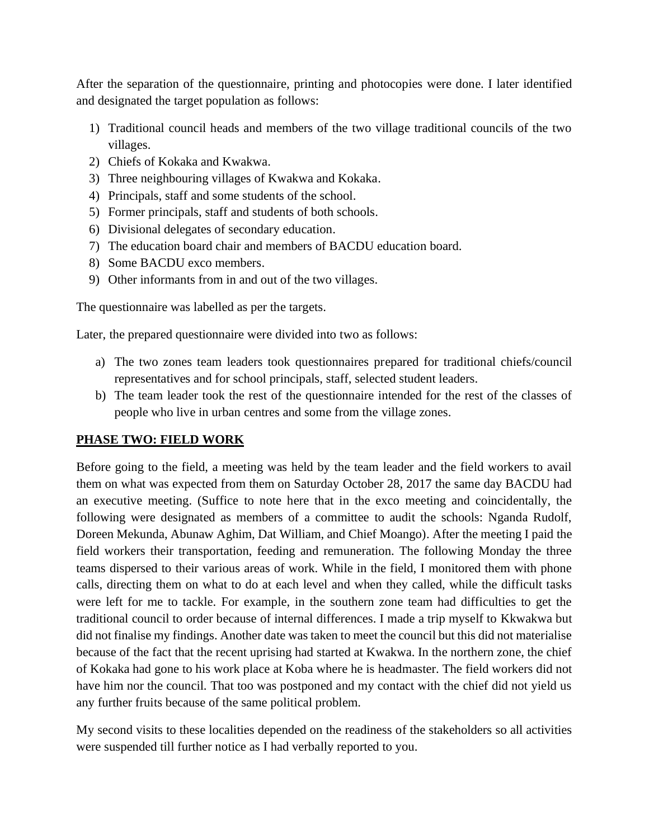After the separation of the questionnaire, printing and photocopies were done. I later identified and designated the target population as follows:

- 1) Traditional council heads and members of the two village traditional councils of the two villages.
- 2) Chiefs of Kokaka and Kwakwa.
- 3) Three neighbouring villages of Kwakwa and Kokaka.
- 4) Principals, staff and some students of the school.
- 5) Former principals, staff and students of both schools.
- 6) Divisional delegates of secondary education.
- 7) The education board chair and members of BACDU education board.
- 8) Some BACDU exco members.
- 9) Other informants from in and out of the two villages.

The questionnaire was labelled as per the targets.

Later, the prepared questionnaire were divided into two as follows:

- a) The two zones team leaders took questionnaires prepared for traditional chiefs/council representatives and for school principals, staff, selected student leaders.
- b) The team leader took the rest of the questionnaire intended for the rest of the classes of people who live in urban centres and some from the village zones.

# **PHASE TWO: FIELD WORK**

Before going to the field, a meeting was held by the team leader and the field workers to avail them on what was expected from them on Saturday October 28, 2017 the same day BACDU had an executive meeting. (Suffice to note here that in the exco meeting and coincidentally, the following were designated as members of a committee to audit the schools: Nganda Rudolf, Doreen Mekunda, Abunaw Aghim, Dat William, and Chief Moango). After the meeting I paid the field workers their transportation, feeding and remuneration. The following Monday the three teams dispersed to their various areas of work. While in the field, I monitored them with phone calls, directing them on what to do at each level and when they called, while the difficult tasks were left for me to tackle. For example, in the southern zone team had difficulties to get the traditional council to order because of internal differences. I made a trip myself to Kkwakwa but did not finalise my findings. Another date was taken to meet the council but this did not materialise because of the fact that the recent uprising had started at Kwakwa. In the northern zone, the chief of Kokaka had gone to his work place at Koba where he is headmaster. The field workers did not have him nor the council. That too was postponed and my contact with the chief did not yield us any further fruits because of the same political problem.

My second visits to these localities depended on the readiness of the stakeholders so all activities were suspended till further notice as I had verbally reported to you.